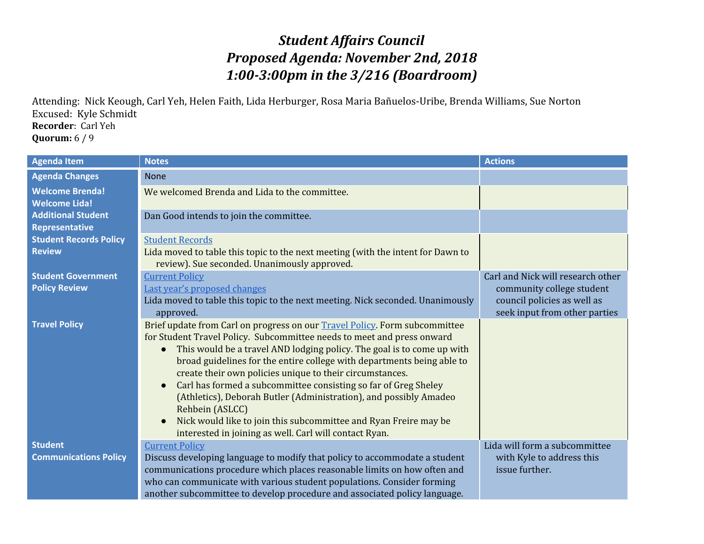## *Student Affairs Council Proposed Agenda: November 2nd, 2018 1:00-3:00pm in the 3/216 (Boardroom)*

Attending: Nick Keough, Carl Yeh, Helen Faith, Lida Herburger, Rosa Maria Bañuelos-Uribe, Brenda Williams, Sue Norton Excused: Kyle Schmidt **Recorder**: Carl Yeh **Quorum:** 6 / 9

| <b>Agenda Item</b>            | <b>Notes</b>                                                                    | <b>Actions</b>                    |
|-------------------------------|---------------------------------------------------------------------------------|-----------------------------------|
| <b>Agenda Changes</b>         | <b>None</b>                                                                     |                                   |
| <b>Welcome Brenda!</b>        | We welcomed Brenda and Lida to the committee.                                   |                                   |
| <b>Welcome Lida!</b>          |                                                                                 |                                   |
| <b>Additional Student</b>     | Dan Good intends to join the committee.                                         |                                   |
| Representative                |                                                                                 |                                   |
| <b>Student Records Policy</b> | <b>Student Records</b>                                                          |                                   |
| <b>Review</b>                 | Lida moved to table this topic to the next meeting (with the intent for Dawn to |                                   |
|                               | review). Sue seconded. Unanimously approved.                                    |                                   |
| <b>Student Government</b>     | <b>Current Policy</b>                                                           | Carl and Nick will research other |
| <b>Policy Review</b>          | Last year's proposed changes                                                    | community college student         |
|                               | Lida moved to table this topic to the next meeting. Nick seconded. Unanimously  | council policies as well as       |
|                               | approved.                                                                       | seek input from other parties     |
| <b>Travel Policy</b>          | Brief update from Carl on progress on our Travel Policy. Form subcommittee      |                                   |
|                               | for Student Travel Policy. Subcommittee needs to meet and press onward          |                                   |
|                               | This would be a travel AND lodging policy. The goal is to come up with          |                                   |
|                               | broad guidelines for the entire college with departments being able to          |                                   |
|                               | create their own policies unique to their circumstances.                        |                                   |
|                               | Carl has formed a subcommittee consisting so far of Greg Sheley                 |                                   |
|                               | (Athletics), Deborah Butler (Administration), and possibly Amadeo               |                                   |
|                               | Rehbein (ASLCC)                                                                 |                                   |
|                               | Nick would like to join this subcommittee and Ryan Freire may be                |                                   |
|                               | interested in joining as well. Carl will contact Ryan.                          |                                   |
| <b>Student</b>                | <b>Current Policy</b>                                                           | Lida will form a subcommittee     |
| <b>Communications Policy</b>  | Discuss developing language to modify that policy to accommodate a student      | with Kyle to address this         |
|                               | communications procedure which places reasonable limits on how often and        | issue further.                    |
|                               | who can communicate with various student populations. Consider forming          |                                   |
|                               | another subcommittee to develop procedure and associated policy language.       |                                   |